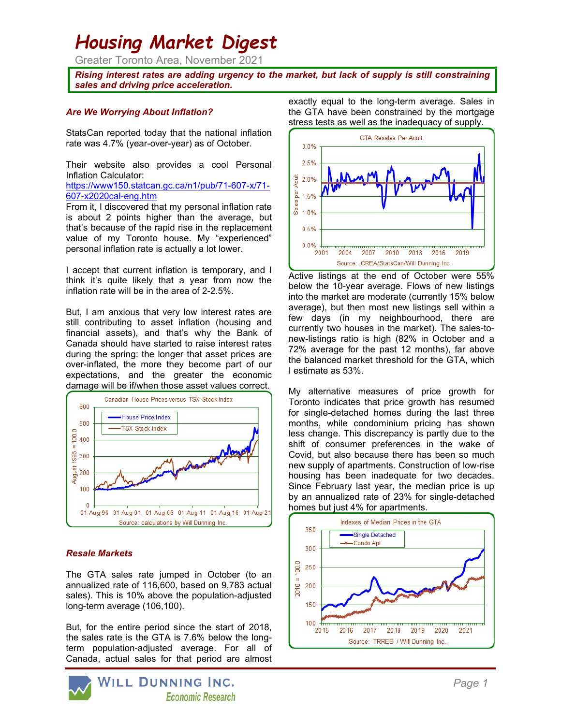# Housing Market Digest

Greater Toronto Area, November 2021

Rising interest rates are adding urgency to the market, but lack of supply is still constraining sales and driving price acceleration.

## Are We Worrying About Inflation?

StatsCan reported today that the national inflation rate was 4.7% (year-over-year) as of October.

Their website also provides a cool Personal Inflation Calculator:

https://www150.statcan.gc.ca/n1/pub/71-607-x/71- 607-x2020cal-eng.htm

From it, I discovered that my personal inflation rate is about 2 points higher than the average, but that's because of the rapid rise in the replacement value of my Toronto house. My "experienced" personal inflation rate is actually a lot lower.

I accept that current inflation is temporary, and I think it's quite likely that a year from now the inflation rate will be in the area of 2-2.5%.

But, I am anxious that very low interest rates are still contributing to asset inflation (housing and financial assets), and that's why the Bank of Canada should have started to raise interest rates during the spring: the longer that asset prices are over-inflated, the more they become part of our expectations, and the greater the economic damage will be if/when those asset values correct.



## Resale Markets

The GTA sales rate jumped in October (to an annualized rate of 116,600, based on 9,783 actual sales). This is 10% above the population-adjusted long-term average (106,100).

But, for the entire period since the start of 2018, the sales rate is the GTA is 7.6% below the longterm population-adjusted average. For all of Canada, actual sales for that period are almost



exactly equal to the long-term average. Sales in the GTA have been constrained by the mortgage stress tests as well as the inadequacy of supply.



Active listings at the end of October were 55% below the 10-year average. Flows of new listings into the market are moderate (currently 15% below average), but then most new listings sell within a few days (in my neighbourhood, there are currently two houses in the market). The sales-tonew-listings ratio is high (82% in October and a 72% average for the past 12 months), far above the balanced market threshold for the GTA, which I estimate as 53%.

My alternative measures of price growth for Toronto indicates that price growth has resumed for single-detached homes during the last three months, while condominium pricing has shown less change. This discrepancy is partly due to the shift of consumer preferences in the wake of Covid, but also because there has been so much new supply of apartments. Construction of low-rise housing has been inadequate for two decades. Since February last year, the median price is up by an annualized rate of 23% for single-detached homes but just 4% for apartments.